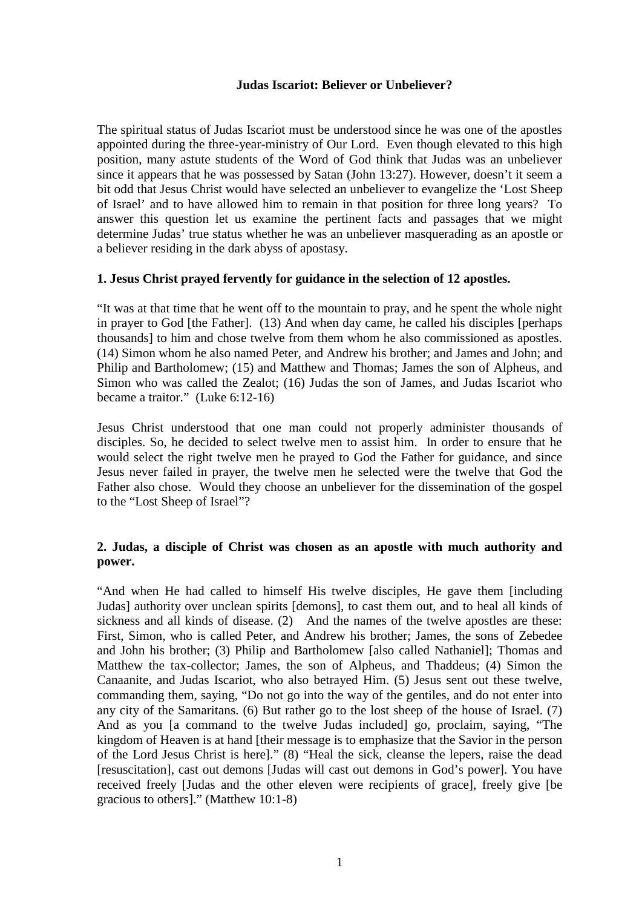### **Judas Iscariot: Believer or Unbeliever?**

The spiritual status of Judas Iscariot must be understood since he was one of the apostles appointed during the three-year-ministry of Our Lord. Even though elevated to this high position, many astute students of the Word of God think that Judas was an unbeliever since it appears that he was possessed by Satan (John 13:27). However, doesn't it seem a bit odd that Jesus Christ would have selected an unbeliever to evangelize the 'Lost Sheep of Israel' and to have allowed him to remain in that position for three long years? To answer this question let us examine the pertinent facts and passages that we might determine Judas' true status whether he was an unbeliever masquerading as an apostle or a believer residing in the dark abyss of apostasy.

### **1. Jesus Christ prayed fervently for guidance in the selection of 12 apostles.**

"It was at that time that he went off to the mountain to pray, and he spent the whole night in prayer to God [the Father]. (13) And when day came, he called his disciples [perhaps thousands] to him and chose twelve from them whom he also commissioned as apostles. (14) Simon whom he also named Peter, and Andrew his brother; and James and John; and Philip and Bartholomew; (15) and Matthew and Thomas; James the son of Alpheus, and Simon who was called the Zealot; (16) Judas the son of James, and Judas Iscariot who became a traitor." (Luke 6:12-16)

Jesus Christ understood that one man could not properly administer thousands of disciples. So, he decided to select twelve men to assist him. In order to ensure that he would select the right twelve men he prayed to God the Father for guidance, and since Jesus never failed in prayer, the twelve men he selected were the twelve that God the Father also chose. Would they choose an unbeliever for the dissemination of the gospel to the "Lost Sheep of Israel"?

### **2. Judas, a disciple of Christ was chosen as an apostle with much authority and power.**

"And when He had called to himself His twelve disciples, He gave them [including Judas] authority over unclean spirits [demons], to cast them out, and to heal all kinds of sickness and all kinds of disease. (2) And the names of the twelve apostles are these: First, Simon, who is called Peter, and Andrew his brother; James, the sons of Zebedee and John his brother; (3) Philip and Bartholomew [also called Nathaniel]; Thomas and Matthew the tax-collector; James, the son of Alpheus, and Thaddeus; (4) Simon the Canaanite, and Judas Iscariot, who also betrayed Him. (5) Jesus sent out these twelve, commanding them, saying, "Do not go into the way of the gentiles, and do not enter into any city of the Samaritans. (6) But rather go to the lost sheep of the house of Israel. (7) And as you [a command to the twelve Judas included] go, proclaim, saying, "The kingdom of Heaven is at hand [their message is to emphasize that the Savior in the person of the Lord Jesus Christ is here]." (8) "Heal the sick, cleanse the lepers, raise the dead [resuscitation], cast out demons [Judas will cast out demons in God's power]. You have received freely [Judas and the other eleven were recipients of grace], freely give [be gracious to others]." (Matthew 10:1-8)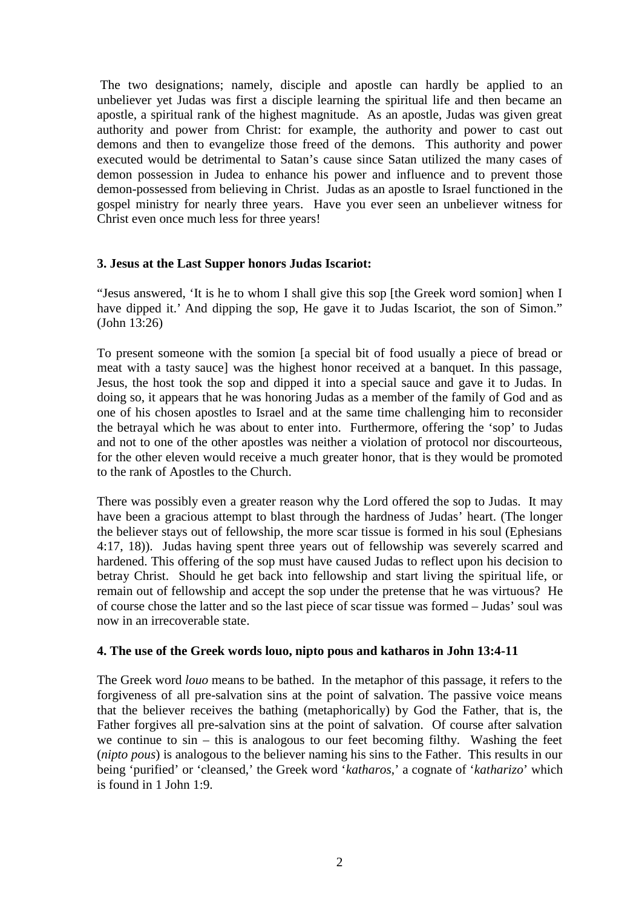The two designations; namely, disciple and apostle can hardly be applied to an unbeliever yet Judas was first a disciple learning the spiritual life and then became an apostle, a spiritual rank of the highest magnitude. As an apostle, Judas was given great authority and power from Christ: for example, the authority and power to cast out demons and then to evangelize those freed of the demons. This authority and power executed would be detrimental to Satan's cause since Satan utilized the many cases of demon possession in Judea to enhance his power and influence and to prevent those demon-possessed from believing in Christ. Judas as an apostle to Israel functioned in the gospel ministry for nearly three years. Have you ever seen an unbeliever witness for Christ even once much less for three years!

### **3. Jesus at the Last Supper honors Judas Iscariot:**

"Jesus answered, 'It is he to whom I shall give this sop [the Greek word somion] when I have dipped it.' And dipping the sop, He gave it to Judas Iscariot, the son of Simon." (John 13:26)

To present someone with the somion [a special bit of food usually a piece of bread or meat with a tasty sauce] was the highest honor received at a banquet. In this passage, Jesus, the host took the sop and dipped it into a special sauce and gave it to Judas. In doing so, it appears that he was honoring Judas as a member of the family of God and as one of his chosen apostles to Israel and at the same time challenging him to reconsider the betrayal which he was about to enter into. Furthermore, offering the 'sop' to Judas and not to one of the other apostles was neither a violation of protocol nor discourteous, for the other eleven would receive a much greater honor, that is they would be promoted to the rank of Apostles to the Church.

There was possibly even a greater reason why the Lord offered the sop to Judas. It may have been a gracious attempt to blast through the hardness of Judas' heart. (The longer the believer stays out of fellowship, the more scar tissue is formed in his soul (Ephesians 4:17, 18)). Judas having spent three years out of fellowship was severely scarred and hardened. This offering of the sop must have caused Judas to reflect upon his decision to betray Christ. Should he get back into fellowship and start living the spiritual life, or remain out of fellowship and accept the sop under the pretense that he was virtuous? He of course chose the latter and so the last piece of scar tissue was formed – Judas' soul was now in an irrecoverable state.

## **4. The use of the Greek words louo, nipto pous and katharos in John 13:4-11**

The Greek word *louo* means to be bathed. In the metaphor of this passage, it refers to the forgiveness of all pre-salvation sins at the point of salvation. The passive voice means that the believer receives the bathing (metaphorically) by God the Father, that is, the Father forgives all pre-salvation sins at the point of salvation. Of course after salvation we continue to sin – this is analogous to our feet becoming filthy. Washing the feet (*nipto pous*) is analogous to the believer naming his sins to the Father. This results in our being 'purified' or 'cleansed,' the Greek word '*katharos*,' a cognate of '*katharizo*' which is found in 1 John 1:9.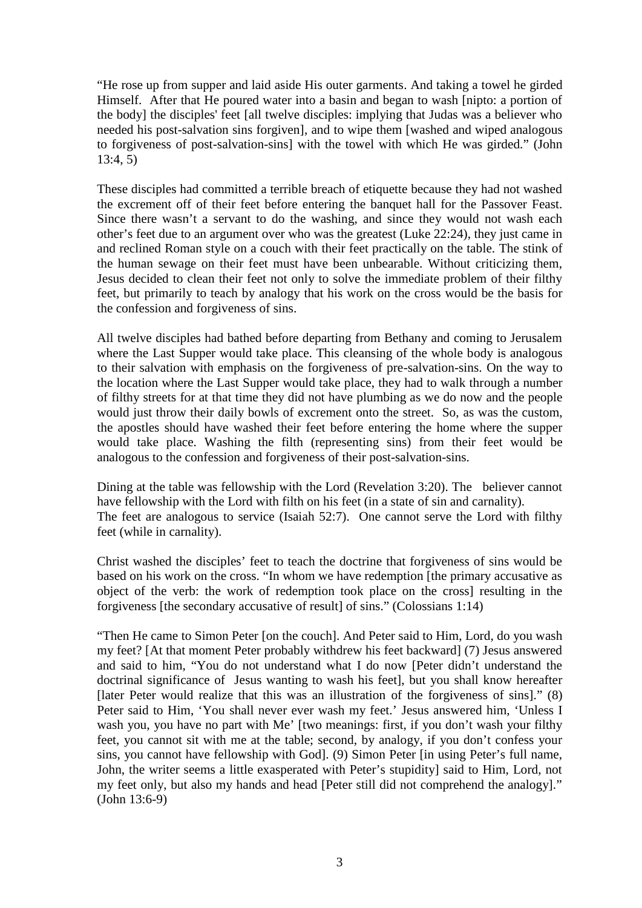"He rose up from supper and laid aside His outer garments. And taking a towel he girded Himself. After that He poured water into a basin and began to wash [nipto: a portion of the body] the disciples' feet [all twelve disciples: implying that Judas was a believer who needed his post-salvation sins forgiven], and to wipe them [washed and wiped analogous to forgiveness of post-salvation-sins] with the towel with which He was girded." (John 13:4, 5)

These disciples had committed a terrible breach of etiquette because they had not washed the excrement off of their feet before entering the banquet hall for the Passover Feast. Since there wasn't a servant to do the washing, and since they would not wash each other's feet due to an argument over who was the greatest (Luke 22:24), they just came in and reclined Roman style on a couch with their feet practically on the table. The stink of the human sewage on their feet must have been unbearable. Without criticizing them, Jesus decided to clean their feet not only to solve the immediate problem of their filthy feet, but primarily to teach by analogy that his work on the cross would be the basis for the confession and forgiveness of sins.

All twelve disciples had bathed before departing from Bethany and coming to Jerusalem where the Last Supper would take place. This cleansing of the whole body is analogous to their salvation with emphasis on the forgiveness of pre-salvation-sins. On the way to the location where the Last Supper would take place, they had to walk through a number of filthy streets for at that time they did not have plumbing as we do now and the people would just throw their daily bowls of excrement onto the street. So, as was the custom, the apostles should have washed their feet before entering the home where the supper would take place. Washing the filth (representing sins) from their feet would be analogous to the confession and forgiveness of their post-salvation-sins.

Dining at the table was fellowship with the Lord (Revelation 3:20). The believer cannot have fellowship with the Lord with filth on his feet (in a state of sin and carnality). The feet are analogous to service (Isaiah 52:7). One cannot serve the Lord with filthy feet (while in carnality).

Christ washed the disciples' feet to teach the doctrine that forgiveness of sins would be based on his work on the cross. "In whom we have redemption [the primary accusative as object of the verb: the work of redemption took place on the cross] resulting in the forgiveness [the secondary accusative of result] of sins." (Colossians 1:14)

"Then He came to Simon Peter [on the couch]. And Peter said to Him, Lord, do you wash my feet? [At that moment Peter probably withdrew his feet backward] (7) Jesus answered and said to him, "You do not understand what I do now [Peter didn't understand the doctrinal significance of Jesus wanting to wash his feet], but you shall know hereafter [later Peter would realize that this was an illustration of the forgiveness of sins]." (8) Peter said to Him, 'You shall never ever wash my feet.' Jesus answered him, 'Unless I wash you, you have no part with Me' [two meanings: first, if you don't wash your filthy feet, you cannot sit with me at the table; second, by analogy, if you don't confess your sins, you cannot have fellowship with God]. (9) Simon Peter [in using Peter's full name, John, the writer seems a little exasperated with Peter's stupidity] said to Him, Lord, not my feet only, but also my hands and head [Peter still did not comprehend the analogy]." (John 13:6-9)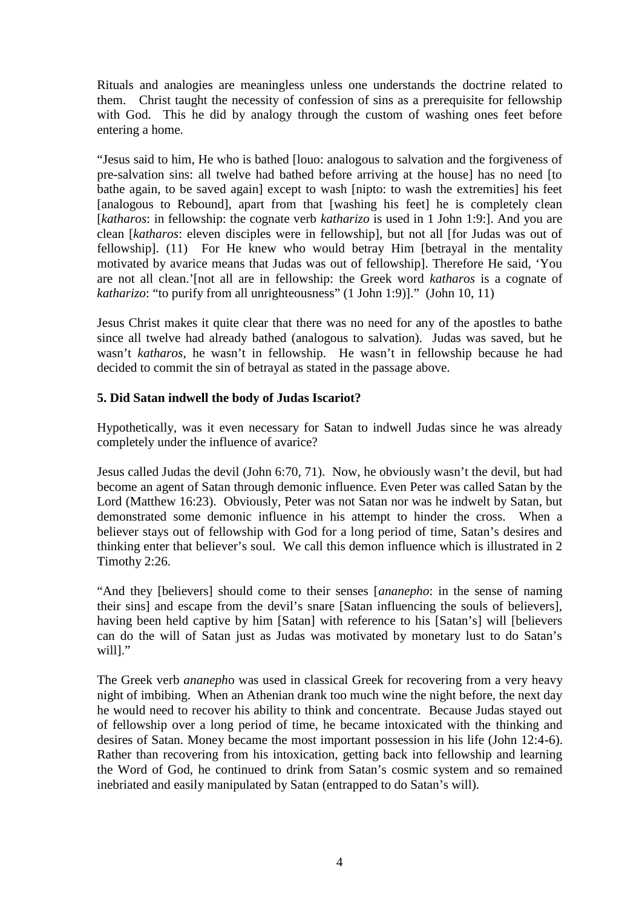Rituals and analogies are meaningless unless one understands the doctrine related to them. Christ taught the necessity of confession of sins as a prerequisite for fellowship with God. This he did by analogy through the custom of washing ones feet before entering a home.

"Jesus said to him, He who is bathed [louo: analogous to salvation and the forgiveness of pre-salvation sins: all twelve had bathed before arriving at the house] has no need [to bathe again, to be saved again] except to wash [nipto: to wash the extremities] his feet [analogous to Rebound], apart from that [washing his feet] he is completely clean [*katharos*: in fellowship: the cognate verb *katharizo* is used in 1 John 1:9:]. And you are clean [*katharos*: eleven disciples were in fellowship], but not all [for Judas was out of fellowship]. (11) For He knew who would betray Him [betrayal in the mentality motivated by avarice means that Judas was out of fellowship]. Therefore He said, 'You are not all clean.'[not all are in fellowship: the Greek word *katharos* is a cognate of *katharizo*: "to purify from all unrighteousness" (1 John 1:9)]." (John 10, 11)

Jesus Christ makes it quite clear that there was no need for any of the apostles to bathe since all twelve had already bathed (analogous to salvation). Judas was saved, but he wasn't *katharos*, he wasn't in fellowship. He wasn't in fellowship because he had decided to commit the sin of betrayal as stated in the passage above.

# **5. Did Satan indwell the body of Judas Iscariot?**

Hypothetically, was it even necessary for Satan to indwell Judas since he was already completely under the influence of avarice?

Jesus called Judas the devil (John 6:70, 71). Now, he obviously wasn't the devil, but had become an agent of Satan through demonic influence. Even Peter was called Satan by the Lord (Matthew 16:23). Obviously, Peter was not Satan nor was he indwelt by Satan, but demonstrated some demonic influence in his attempt to hinder the cross. When a believer stays out of fellowship with God for a long period of time, Satan's desires and thinking enter that believer's soul. We call this demon influence which is illustrated in 2 Timothy 2:26.

"And they [believers] should come to their senses [*ananepho*: in the sense of naming their sins] and escape from the devil's snare [Satan influencing the souls of believers], having been held captive by him [Satan] with reference to his [Satan's] will [believers can do the will of Satan just as Judas was motivated by monetary lust to do Satan's will]."

The Greek verb *ananeph*o was used in classical Greek for recovering from a very heavy night of imbibing. When an Athenian drank too much wine the night before, the next day he would need to recover his ability to think and concentrate. Because Judas stayed out of fellowship over a long period of time, he became intoxicated with the thinking and desires of Satan. Money became the most important possession in his life (John 12:4-6). Rather than recovering from his intoxication, getting back into fellowship and learning the Word of God, he continued to drink from Satan's cosmic system and so remained inebriated and easily manipulated by Satan (entrapped to do Satan's will).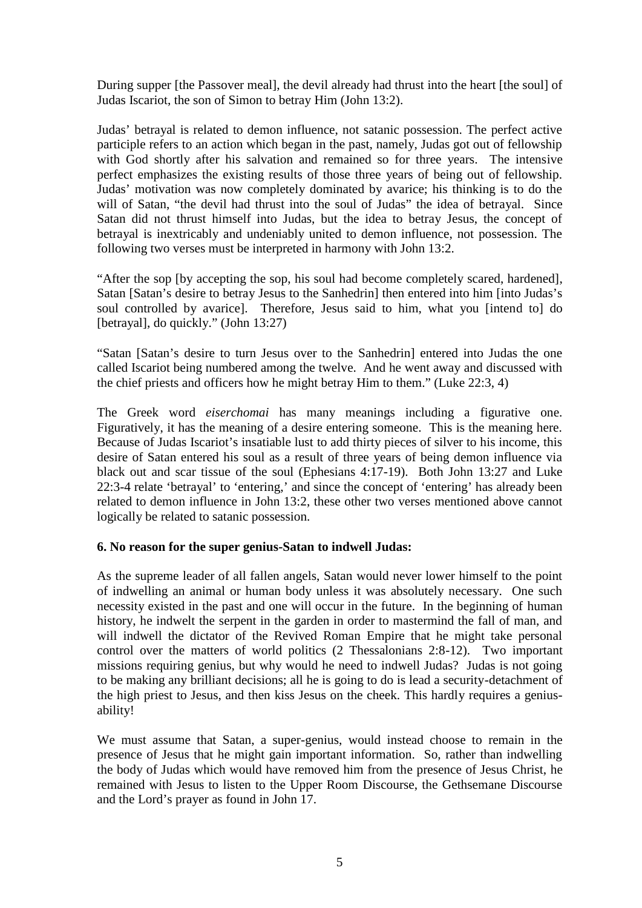During supper [the Passover meal], the devil already had thrust into the heart [the soul] of Judas Iscariot, the son of Simon to betray Him (John 13:2).

Judas' betrayal is related to demon influence, not satanic possession. The perfect active participle refers to an action which began in the past, namely, Judas got out of fellowship with God shortly after his salvation and remained so for three years. The intensive perfect emphasizes the existing results of those three years of being out of fellowship. Judas' motivation was now completely dominated by avarice; his thinking is to do the will of Satan, "the devil had thrust into the soul of Judas" the idea of betrayal. Since Satan did not thrust himself into Judas, but the idea to betray Jesus, the concept of betrayal is inextricably and undeniably united to demon influence, not possession. The following two verses must be interpreted in harmony with John 13:2.

"After the sop [by accepting the sop, his soul had become completely scared, hardened], Satan [Satan's desire to betray Jesus to the Sanhedrin] then entered into him [into Judas's soul controlled by avarice]. Therefore, Jesus said to him, what you [intend to] do [betrayal], do quickly." (John 13:27)

"Satan [Satan's desire to turn Jesus over to the Sanhedrin] entered into Judas the one called Iscariot being numbered among the twelve. And he went away and discussed with the chief priests and officers how he might betray Him to them." (Luke 22:3, 4)

The Greek word *eiserchomai* has many meanings including a figurative one. Figuratively, it has the meaning of a desire entering someone. This is the meaning here. Because of Judas Iscariot's insatiable lust to add thirty pieces of silver to his income, this desire of Satan entered his soul as a result of three years of being demon influence via black out and scar tissue of the soul (Ephesians 4:17-19). Both John 13:27 and Luke 22:3-4 relate 'betrayal' to 'entering,' and since the concept of 'entering' has already been related to demon influence in John 13:2, these other two verses mentioned above cannot logically be related to satanic possession.

## **6. No reason for the super genius-Satan to indwell Judas:**

As the supreme leader of all fallen angels, Satan would never lower himself to the point of indwelling an animal or human body unless it was absolutely necessary. One such necessity existed in the past and one will occur in the future. In the beginning of human history, he indwelt the serpent in the garden in order to mastermind the fall of man, and will indwell the dictator of the Revived Roman Empire that he might take personal control over the matters of world politics (2 Thessalonians 2:8-12). Two important missions requiring genius, but why would he need to indwell Judas? Judas is not going to be making any brilliant decisions; all he is going to do is lead a security-detachment of the high priest to Jesus, and then kiss Jesus on the cheek. This hardly requires a genius ability!

We must assume that Satan, a super-genius, would instead choose to remain in the presence of Jesus that he might gain important information. So, rather than indwelling the body of Judas which would have removed him from the presence of Jesus Christ, he remained with Jesus to listen to the Upper Room Discourse, the Gethsemane Discourse and the Lord's prayer as found in John 17.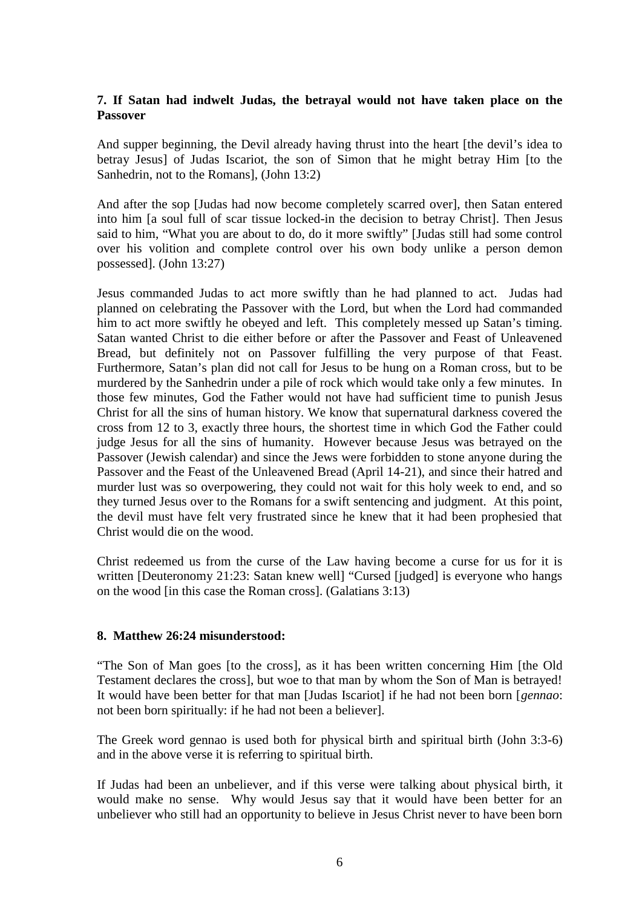### **7. If Satan had indwelt Judas, the betrayal would not have taken place on the Passover**

And supper beginning, the Devil already having thrust into the heart [the devil's idea to betray Jesus] of Judas Iscariot, the son of Simon that he might betray Him [to the Sanhedrin, not to the Romans], (John 13:2)

And after the sop [Judas had now become completely scarred over], then Satan entered into him [a soul full of scar tissue locked-in the decision to betray Christ]. Then Jesus said to him, "What you are about to do, do it more swiftly" [Judas still had some control over his volition and complete control over his own body unlike a person demon possessed]. (John 13:27)

Jesus commanded Judas to act more swiftly than he had planned to act. Judas had planned on celebrating the Passover with the Lord, but when the Lord had commanded him to act more swiftly he obeyed and left. This completely messed up Satan's timing. Satan wanted Christ to die either before or after the Passover and Feast of Unleavened Bread, but definitely not on Passover fulfilling the very purpose of that Feast. Furthermore, Satan's plan did not call for Jesus to be hung on a Roman cross, but to be murdered by the Sanhedrin under a pile of rock which would take only a few minutes. In those few minutes, God the Father would not have had sufficient time to punish Jesus Christ for all the sins of human history. We know that supernatural darkness covered the cross from 12 to 3, exactly three hours, the shortest time in which God the Father could judge Jesus for all the sins of humanity. However because Jesus was betrayed on the Passover (Jewish calendar) and since the Jews were forbidden to stone anyone during the Passover and the Feast of the Unleavened Bread (April 14-21), and since their hatred and murder lust was so overpowering, they could not wait for this holy week to end, and so they turned Jesus over to the Romans for a swift sentencing and judgment. At this point, the devil must have felt very frustrated since he knew that it had been prophesied that Christ would die on the wood.

Christ redeemed us from the curse of the Law having become a curse for us for it is written [Deuteronomy 21:23: Satan knew well] "Cursed [judged] is everyone who hangs on the wood [in this case the Roman cross]. (Galatians 3:13)

### **8. Matthew 26:24 misunderstood:**

"The Son of Man goes [to the cross], as it has been written concerning Him [the Old Testament declares the cross], but woe to that man by whom the Son of Man is betrayed! It would have been better for that man [Judas Iscariot] if he had not been born [*gennao*: not been born spiritually: if he had not been a believer].

The Greek word gennao is used both for physical birth and spiritual birth (John 3:3-6) and in the above verse it is referring to spiritual birth.

If Judas had been an unbeliever, and if this verse were talking about physical birth, it would make no sense. Why would Jesus say that it would have been better for an unbeliever who still had an opportunity to believe in Jesus Christ never to have been born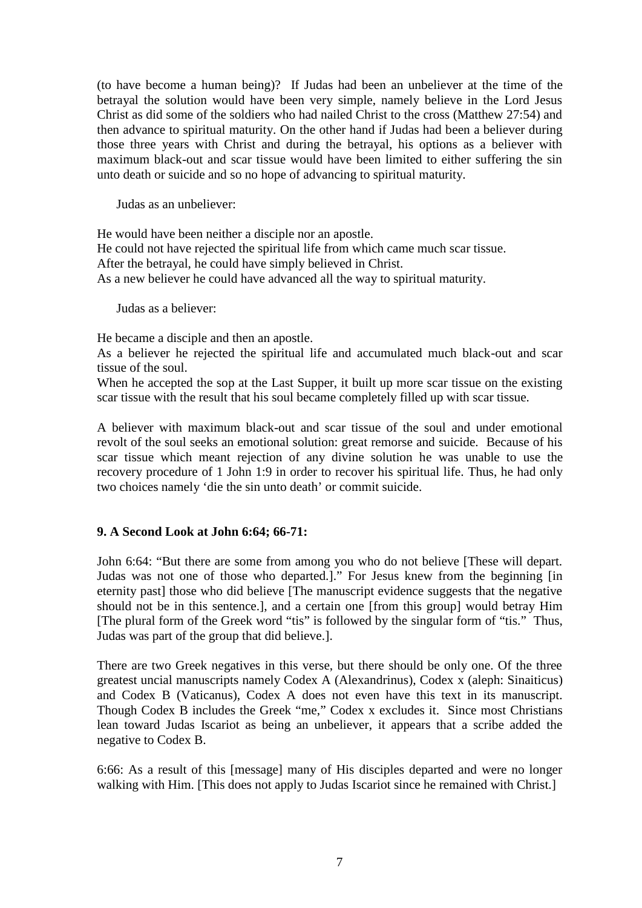(to have become a human being)? If Judas had been an unbeliever at the time of the betrayal the solution would have been very simple, namely believe in the Lord Jesus Christ as did some of the soldiers who had nailed Christ to the cross (Matthew 27:54) and then advance to spiritual maturity. On the other hand if Judas had been a believer during those three years with Christ and during the betrayal, his options as a believer with maximum black-out and scar tissue would have been limited to either suffering the sin unto death or suicide and so no hope of advancing to spiritual maturity.

Judas as an unbeliever:

He would have been neither a disciple nor an apostle. He could not have rejected the spiritual life from which came much scar tissue. After the betrayal, he could have simply believed in Christ. As a new believer he could have advanced all the way to spiritual maturity.

Judas as a believer:

He became a disciple and then an apostle.

As a believer he rejected the spiritual life and accumulated much black-out and scar tissue of the soul.

When he accepted the sop at the Last Supper, it built up more scar tissue on the existing scar tissue with the result that his soul became completely filled up with scar tissue.

A believer with maximum black-out and scar tissue of the soul and under emotional revolt of the soul seeks an emotional solution: great remorse and suicide. Because of his scar tissue which meant rejection of any divine solution he was unable to use the recovery procedure of 1 John 1:9 in order to recover his spiritual life. Thus, he had only two choices namely 'die the sin unto death' or commit suicide.

## **9. A Second Look at John 6:64; 66-71:**

John 6:64: "But there are some from among you who do not believe [These will depart. Judas was not one of those who departed.]." For Jesus knew from the beginning [in eternity past] those who did believe [The manuscript evidence suggests that the negative should not be in this sentence.], and a certain one [from this group] would betray Him [The plural form of the Greek word "tis" is followed by the singular form of "tis." Thus, Judas was part of the group that did believe.].

There are two Greek negatives in this verse, but there should be only one. Of the three greatest uncial manuscripts namely Codex A (Alexandrinus), Codex x (aleph: Sinaiticus) and Codex B (Vaticanus), Codex A does not even have this text in its manuscript. Though Codex B includes the Greek "me," Codex x excludes it. Since most Christians lean toward Judas Iscariot as being an unbeliever, it appears that a scribe added the negative to Codex B.

6:66: As a result of this [message] many of His disciples departed and were no longer walking with Him. [This does not apply to Judas Iscariot since he remained with Christ.]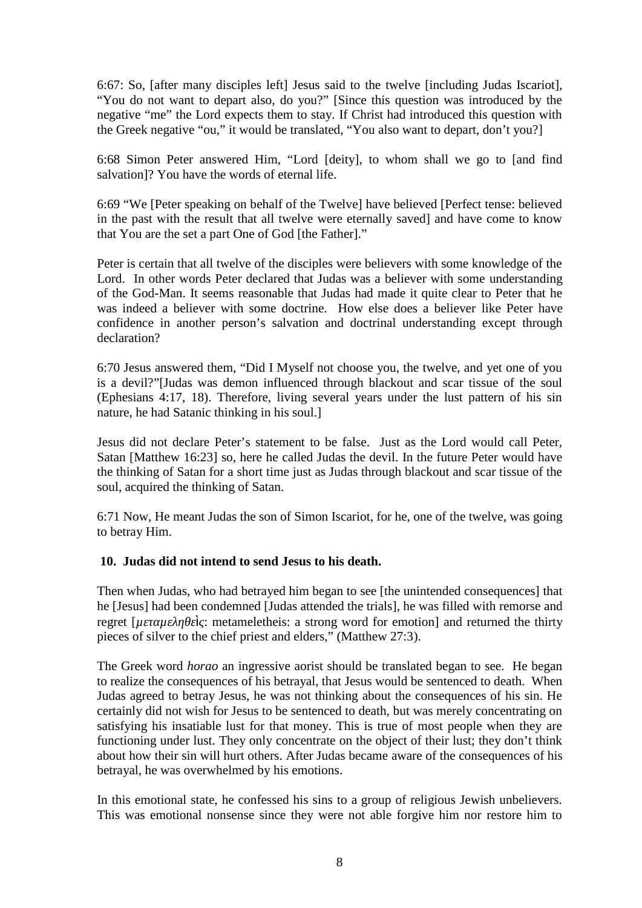6:67: So, [after many disciples left] Jesus said to the twelve [including Judas Iscariot], "You do not want to depart also, do you?" [Since this question was introduced by the negative "me" the Lord expects them to stay. If Christ had introduced this question with the Greek negative "ou," it would be translated, "You also want to depart, don't you?]

6:68 Simon Peter answered Him, "Lord [deity], to whom shall we go to [and find salvation]? You have the words of eternal life.

6:69 "We [Peter speaking on behalf of the Twelve] have believed [Perfect tense: believed in the past with the result that all twelve were eternally saved] and have come to know that You are the set a part One of God [the Father]."

Peter is certain that all twelve of the disciples were believers with some knowledge of the Lord. In other words Peter declared that Judas was a believer with some understanding of the God-Man. It seems reasonable that Judas had made it quite clear to Peter that he was indeed a believer with some doctrine. How else does a believer like Peter have confidence in another person's salvation and doctrinal understanding except through declaration?

6:70 Jesus answered them, "Did I Myself not choose you, the twelve, and yet one of you is a devil?"[Judas was demon influenced through blackout and scar tissue of the soul (Ephesians 4:17, 18). Therefore, living several years under the lust pattern of his sin nature, he had Satanic thinking in his soul.]

Jesus did not declare Peter's statement to be false. Just as the Lord would call Peter, Satan [Matthew 16:23] so, here he called Judas the devil. In the future Peter would have the thinking of Satan for a short time just as Judas through blackout and scar tissue of the soul, acquired the thinking of Satan.

6:71 Now, He meant Judas the son of Simon Iscariot, for he, one of the twelve, was going to betray Him.

## **10. Judas did not intend to send Jesus to his death.**

Then when Judas, who had betrayed him began to see [the unintended consequences] that he [Jesus] had been condemned [Judas attended the trials], he was filled with remorse and regret [*µεταµεληθεὶ* : metameletheis: a strong word for emotion] and returned the thirty pieces of silver to the chief priest and elders," (Matthew 27:3).

The Greek word *horao* an ingressive aorist should be translated began to see. He began to realize the consequences of his betrayal, that Jesus would be sentenced to death. When Judas agreed to betray Jesus, he was not thinking about the consequences of his sin. He certainly did not wish for Jesus to be sentenced to death, but was merely concentrating on satisfying his insatiable lust for that money. This is true of most people when they are functioning under lust. They only concentrate on the object of their lust; they don't think about how their sin will hurt others. After Judas became aware of the consequences of his betrayal, he was overwhelmed by his emotions.

In this emotional state, he confessed his sins to a group of religious Jewish unbelievers. This was emotional nonsense since they were not able forgive him nor restore him to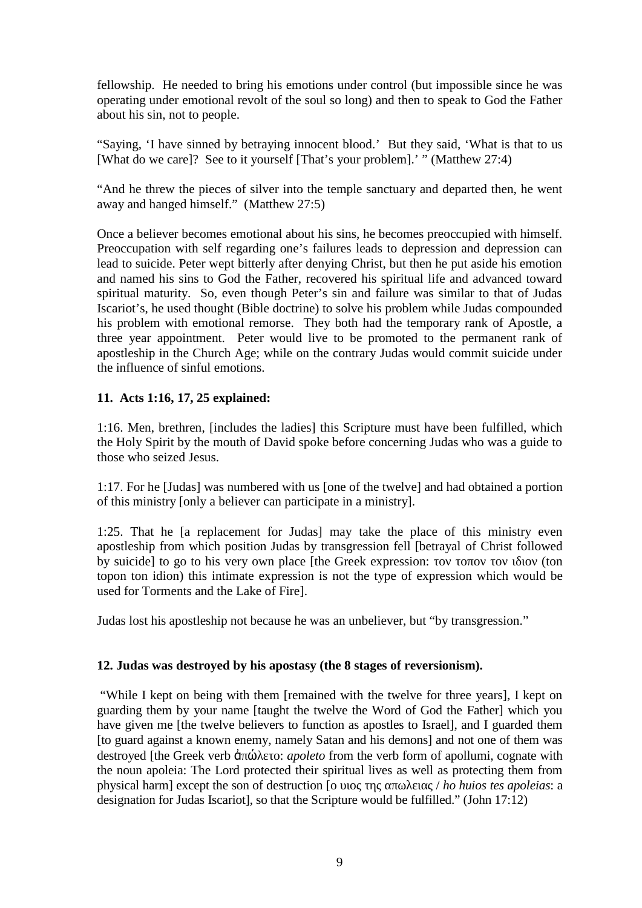fellowship. He needed to bring his emotions under control (but impossible since he was operating under emotional revolt of the soul so long) and then to speak to God the Father about his sin, not to people.

"Saying, 'I have sinned by betraying innocent blood.' But they said, 'What is that to us [What do we care]? See to it yourself [That's your problem].' " (Matthew 27:4)

"And he threw the pieces of silver into the temple sanctuary and departed then, he went away and hanged himself." (Matthew 27:5)

Once a believer becomes emotional about his sins, he becomes preoccupied with himself. Preoccupation with self regarding one's failures leads to depression and depression can lead to suicide. Peter wept bitterly after denying Christ, but then he put aside his emotion and named his sins to God the Father, recovered his spiritual life and advanced toward spiritual maturity. So, even though Peter's sin and failure was similar to that of Judas Iscariot's, he used thought (Bible doctrine) to solve his problem while Judas compounded his problem with emotional remorse. They both had the temporary rank of Apostle, a three year appointment. Peter would live to be promoted to the permanent rank of apostleship in the Church Age; while on the contrary Judas would commit suicide under the influence of sinful emotions.

## **11. Acts 1:16, 17, 25 explained:**

1:16. Men, brethren, [includes the ladies] this Scripture must have been fulfilled, which the Holy Spirit by the mouth of David spoke before concerning Judas who was a guide to those who seized Jesus.

1:17. For he [Judas] was numbered with us [one of the twelve] and had obtained a portion of this ministry [only a believer can participate in a ministry].

1:25. That he [a replacement for Judas] may take the place of this ministry even apostleship from which position Judas by transgression fell [betrayal of Christ followed by suicide] to go to his very own place [the Greek expression:  $(ton)$ topon ton idion) this intimate expression is not the type of expression which would be used for Torments and the Lake of Fire].

Judas lost his apostleship not because he was an unbeliever, but "by transgression."

## **12. Judas was destroyed by his apostasy (the 8 stages of reversionism).**

 "While I kept on being with them [remained with the twelve for three years], I kept on guarding them by your name [taught the twelve the Word of God the Father] which you have given me [the twelve believers to function as apostles to Israel], and I guarded them [to guard against a known enemy, namely Satan and his demons] and not one of them was destroyed [the Greek verb ἀ ώλετο: *apoleto* from the verb form of apollumi, cognate with the noun apoleia: The Lord protected their spiritual lives as well as protecting them from physical harm] except the son of destruction [*(b) i ho huios tes apoleias*: a designation for Judas Iscariot], so that the Scripture would be fulfilled." (John 17:12)